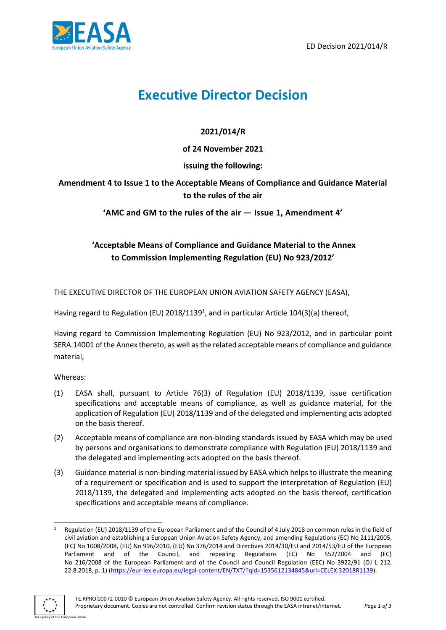

# **Executive Director Decision**

## **2021/014/R**

**of 24 November 2021**

## **issuing the following:**

**Amendment 4 to Issue 1 to the Acceptable Means of Compliance and Guidance Material to the rules of the air** 

**'AMC and GM to the rules of the air — Issue 1, Amendment 4'**

# **'Acceptable Means of Compliance and Guidance Material to the Annex to Commission Implementing Regulation (EU) No 923/2012'**

THE EXECUTIVE DIRECTOR OF THE EUROPEAN UNION AVIATION SAFETY AGENCY (EASA),

Having regard to Regulation (EU) 2018/1139<sup>1</sup>, and in particular Article 104(3)(a) thereof,

Having regard to Commission Implementing Regulation (EU) No 923/2012, and in particular point SERA.14001 of the Annex thereto, as well as the related acceptable means of compliance and guidance material,

Whereas:

- (1) EASA shall, pursuant to Article 76(3) of Regulation (EU) 2018/1139, issue certification specifications and acceptable means of compliance, as well as guidance material, for the application of Regulation (EU) 2018/1139 and of the delegated and implementing acts adopted on the basis thereof.
- (2) Acceptable means of compliance are non-binding standards issued by EASA which may be used by persons and organisations to demonstrate compliance with Regulation (EU) 2018/1139 and the delegated and implementing acts adopted on the basis thereof.
- (3) Guidance material is non-binding material issued by EASA which helps to illustrate the meaning of a requirement or specification and is used to support the interpretation of Regulation (EU) 2018/1139, the delegated and implementing acts adopted on the basis thereof, certification specifications and acceptable means of compliance.

Regulation (EU) 2018/1139 of the European Parliament and of the Council of 4 July 2018 on common rules in the field of civil aviation and establishing a European Union Aviation Safety Agency, and amending Regulations (EC) No 2111/2005, (EC) No 1008/2008, (EU) No 996/2010, (EU) No 376/2014 and Directives 2014/30/EU and 2014/53/EU of the European Parliament and of the Council, and repealing Regulations (EC) No 552/2004 and (EC) No 216/2008 of the European Parliament and of the Council and Council Regulation (EEC) No 3922/91 (OJ L 212, 22.8.2018, p. 1) [\(https://eur-lex.europa.eu/legal-content/EN/TXT/?qid=1535612134845&uri=CELEX:32018R1139\)](https://eur-lex.europa.eu/legal-content/EN/TXT/?qid=1535612134845&uri=CELEX:32018R1139).

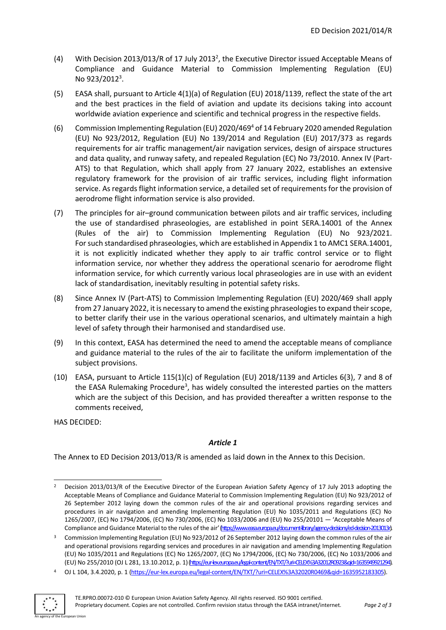- (4) With Decision 2013/013/R of 17 July 2013<sup>2</sup>, the Executive Director issued Acceptable Means of Compliance and Guidance Material to Commission Implementing Regulation (EU) No 923/2012<sup>3</sup>.
- (5) EASA shall, pursuant to Article 4(1)(a) of Regulation (EU) 2018/1139, reflect the state of the art and the best practices in the field of aviation and update its decisions taking into account worldwide aviation experience and scientific and technical progress in the respective fields.
- (6) Commission Implementing Regulation (EU) 2020/469<sup>4</sup> of 14 February 2020 amended Regulation (EU) No 923/2012, Regulation (EU) No 139/2014 and Regulation (EU) 2017/373 as regards requirements for air traffic management/air navigation services, design of airspace structures and data quality, and runway safety, and repealed Regulation (EC) No 73/2010. Annex IV (Part-ATS) to that Regulation, which shall apply from 27 January 2022, establishes an extensive regulatory framework for the provision of air traffic services, including flight information service. As regards flight information service, a detailed set of requirements for the provision of aerodrome flight information service is also provided.
- (7) The principles for air–ground communication between pilots and air traffic services, including the use of standardised phraseologies, are established in point SERA.14001 of the Annex (Rules of the air) to Commission Implementing Regulation (EU) No 923/2021. For such standardised phraseologies, which are established in Appendix 1 to AMC1 SERA.14001, it is not explicitly indicated whether they apply to air traffic control service or to flight information service, nor whether they address the operational scenario for aerodrome flight information service, for which currently various local phraseologies are in use with an evident lack of standardisation, inevitably resulting in potential safety risks.
- (8) Since Annex IV (Part-ATS) to Commission Implementing Regulation (EU) 2020/469 shall apply from 27 January 2022, it is necessary to amend the existing phraseologies to expand their scope, to better clarify their use in the various operational scenarios, and ultimately maintain a high level of safety through their harmonised and standardised use.
- (9) In this context, EASA has determined the need to amend the acceptable means of compliance and guidance material to the rules of the air to facilitate the uniform implementation of the subject provisions.
- (10) EASA, pursuant to Article 115(1)(c) of Regulation (EU) 2018/1139 and Articles 6(3), 7 and 8 of the EASA Rulemaking Procedure<sup>3</sup>, has widely consulted the interested parties on the matters which are the subject of this Decision, and has provided thereafter a written response to the comments received,

HAS DECIDED:

#### *Article 1*

The Annex to ED Decision 2013/013/R is amended as laid down in the Annex to this Decision.

<sup>4</sup> OJ L 104, 3.4.2020, p. 1 [\(https://eur-lex.europa.eu/legal-content/EN/TXT/?uri=CELEX%3A32020R0469&qid=1635952183305\)](https://eur-lex.europa.eu/legal-content/EN/TXT/?uri=CELEX%3A32020R0469&qid=1635952183305).



<sup>&</sup>lt;sup>2</sup> Decision 2013/013/R of the Executive Director of the European Aviation Safety Agency of 17 July 2013 adopting the Acceptable Means of Compliance and Guidance Material to Commission Implementing Regulation (EU) No 923/2012 of 26 September 2012 laying down the common rules of the air and operational provisions regarding services and procedures in air navigation and amending Implementing Regulation (EU) No 1035/2011 and Regulations (EC) No 1265/2007, (EC) No 1794/2006, (EC) No 730/2006, (EC) No 1033/2006 and (EU) No 255/20101 — 'Acceptable Means of Compliance and Guidance Material to the rules of the air' [\(https://www.easa.europa.eu/document-library/agency-decisions/ed-decision-2013013r\).](https://www.easa.europa.eu/document-library/agency-decisions/ed-decision-2013013r)

<sup>3</sup> Commission Implementing Regulation (EU) No 923/2012 of 26 September 2012 laying down the common rules of the air and operational provisions regarding services and procedures in air navigation and amending Implementing Regulation (EU) No 1035/2011 and Regulations (EC) No 1265/2007, (EC) No 1794/2006, (EC) No 730/2006, (EC) No 1033/2006 and (EU) No 255/2010 (OJ L 281, 13.10.2012, p. 1)[\(https://eur-lex.europa.eu/legal-content/EN/TXT/?uri=CELEX%3A32012R0923&qid=1635949921294\).](https://eur-lex.europa.eu/legal-content/EN/TXT/?uri=CELEX%3A32012R0923&qid=1635949921294)